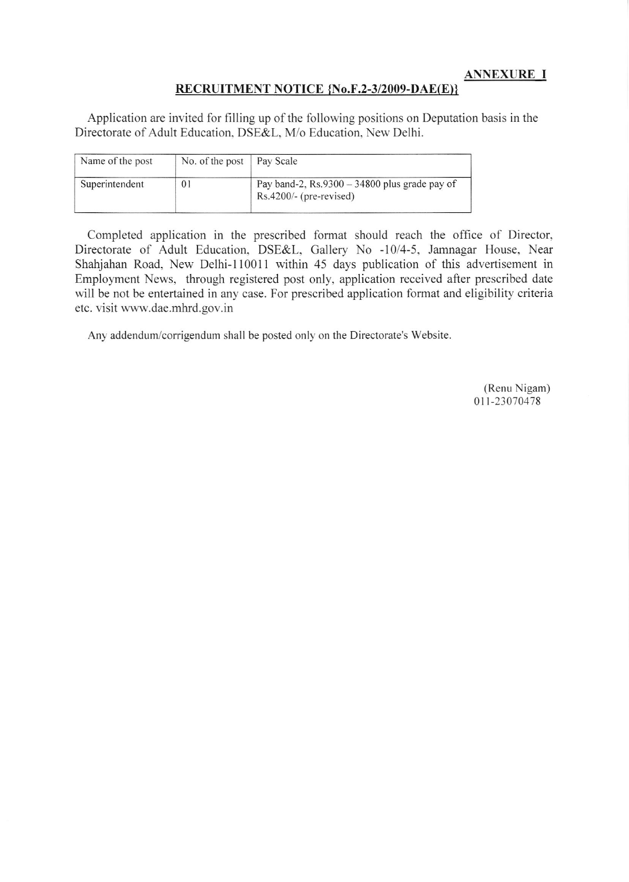ANNEXURE I

#### RECRUITMENT NOTICE {No.F.2-3/2009-DAE(E)}

Application are invited for filling up of the fotlowing positions on Deputation basis in the Directorate of Adult Education. DSE&L. M/o Education. New Delhi.

| Name of the post | No. of the post   Pay Scale |                                                                             |
|------------------|-----------------------------|-----------------------------------------------------------------------------|
| Superintendent   | 01                          | Pay band-2, $Rs.9300 - 34800$ plus grade pay of<br>$Rs.4200/-(pre-revised)$ |

Completed application in the prescribed format should reach the office of Director, Directorate of Adult Education, DSE&L, Gallery No -10/4-5, Jamnagar House, Near Shahjahan Road, New Delhi-110011 within 45 days publication of this advertisement in Employment News, through registered post only, application received after prescribed date will be not be entertained in any case. For prescribed application format and eligibility criteria etc. visit www-dae.mhrd.gov. in

Any addendum/corrigendum shall be posted only on the Directorate's Website

(Renu Nigam) 0 1 1 - 230 70 478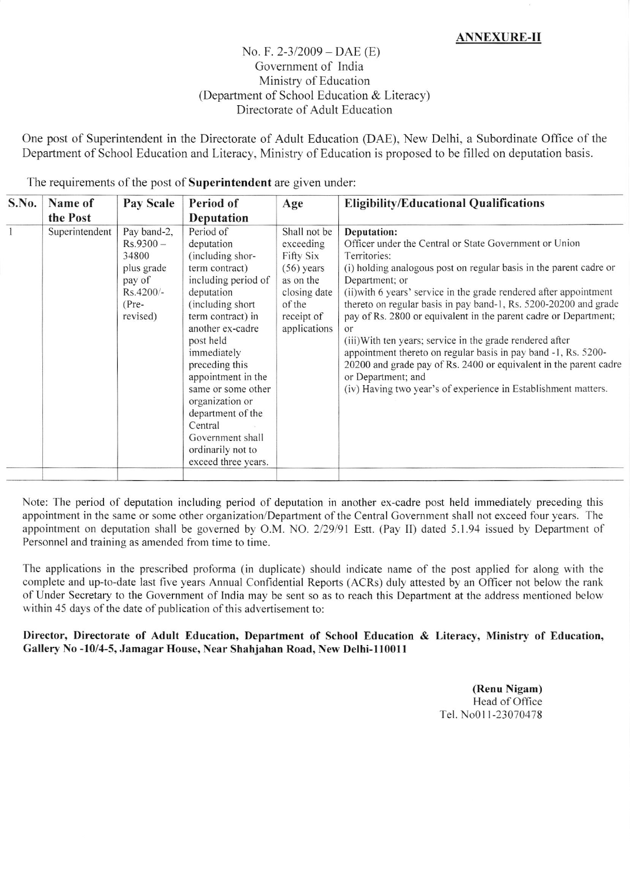# ANNEXURE-II

# No. F.  $2-3/2009 - DAE$  (E) Government of India Ministry of Education (Department of School Education  $&$  Literacy) Directorate of Adult Education

One post of Superintendent in the Directorate of Adult Education (DAE), New Delhi, a Subordinate Office of the Department of School Education and Literacy, Ministry of Education is proposed to be filled on deputation basis.

| S.No. | Name of        | Pay Scale                                                                                       | Period of                                                                                                                                                                                                                                                                                                                                                                     | Age                                                                                                                         | <b>Eligibility/Educational Qualifications</b>                                                                                                                                                                                                                                                                                                                                                                                                                                                                                                                                                                                                                                                 |  |
|-------|----------------|-------------------------------------------------------------------------------------------------|-------------------------------------------------------------------------------------------------------------------------------------------------------------------------------------------------------------------------------------------------------------------------------------------------------------------------------------------------------------------------------|-----------------------------------------------------------------------------------------------------------------------------|-----------------------------------------------------------------------------------------------------------------------------------------------------------------------------------------------------------------------------------------------------------------------------------------------------------------------------------------------------------------------------------------------------------------------------------------------------------------------------------------------------------------------------------------------------------------------------------------------------------------------------------------------------------------------------------------------|--|
|       | the Post       |                                                                                                 | Deputation                                                                                                                                                                                                                                                                                                                                                                    |                                                                                                                             |                                                                                                                                                                                                                                                                                                                                                                                                                                                                                                                                                                                                                                                                                               |  |
|       | Superintendent | Pay band-2,<br>$Rs.9300 -$<br>34800<br>plus grade<br>pay of<br>Rs.4200/-<br>$(Pre-$<br>revised) | Period of<br>deputation<br>(including shor-<br>term contract)<br>including period of<br>deputation<br>(including short)<br>term contract) in<br>another ex-cadre<br>post held<br>immediately<br>preceding this<br>appointment in the<br>same or some other<br>organization or<br>department of the<br>Central<br>Government shall<br>ordinarily not to<br>exceed three years. | Shall not be<br>exceeding<br>Fifty Six<br>$(56)$ years<br>as on the<br>closing date<br>of the<br>receipt of<br>applications | Deputation:<br>Officer under the Central or State Government or Union<br>Territories:<br>(i) holding analogous post on regular basis in the parent cadre or<br>Department; or<br>(ii) with 6 years' service in the grade rendered after appointment<br>thereto on regular basis in pay band-1, Rs. 5200-20200 and grade<br>pay of Rs. 2800 or equivalent in the parent cadre or Department;<br>or<br>(iii) With ten years; service in the grade rendered after<br>appointment thereto on regular basis in pay band -1, Rs. 5200-<br>20200 and grade pay of Rs. 2400 or equivalent in the parent cadre<br>or Department; and<br>(iv) Having two year's of experience in Establishment matters. |  |
|       |                |                                                                                                 |                                                                                                                                                                                                                                                                                                                                                                               |                                                                                                                             |                                                                                                                                                                                                                                                                                                                                                                                                                                                                                                                                                                                                                                                                                               |  |

The requirements of the post of Superintendent are given under:

Note: The period of deputation including period of deputation in another ex-cadre post held immediately preceding this appointment in the same or some other organization/Department of the Central Government shall not exceed four years. The appointment on deputation shall be governed by O.M. NO. 2/29/91 Estt. (Pay II) dated 5.1.94 issued by Department of Personnel and training as amended from time to time.

The applications in the prescribed proforma (in duplicate) should indicate name of the post applied for along with the complete and up-to-date last five years Annual Confidential Reports (ACRs) duly attested by an Officer not below the rank of Under Secretary to the Government of India may be sent so as to reach this Department at the address mentioned below within 45 days of the date of publication of this advertisement to:

### Director, Directorate of Adult Education, Department of School Education & Literacy, Ministry of Education, Gallery No -10/4-5, Jamagar House, Near Shahjahan Road, New Delhi-110011

(Renu Nigam) Head of Office Tel. No011-23070478